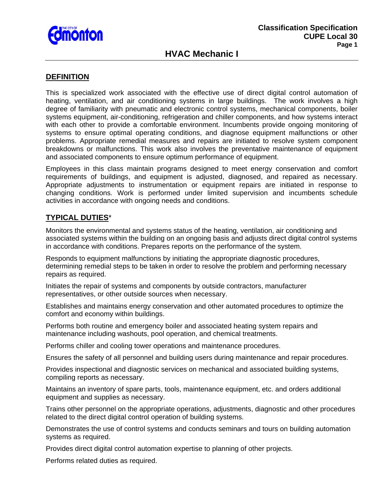

## **HVAC Mechanic I**

#### **DEFINITION**

This is specialized work associated with the effective use of direct digital control automation of heating, ventilation, and air conditioning systems in large buildings. The work involves a high degree of familiarity with pneumatic and electronic control systems, mechanical components, boiler systems equipment, air-conditioning, refrigeration and chiller components, and how systems interact with each other to provide a comfortable environment. Incumbents provide ongoing monitoring of systems to ensure optimal operating conditions, and diagnose equipment malfunctions or other problems. Appropriate remedial measures and repairs are initiated to resolve system component breakdowns or malfunctions. This work also involves the preventative maintenance of equipment and associated components to ensure optimum performance of equipment.

Employees in this class maintain programs designed to meet energy conservation and comfort requirements of buildings, and equipment is adjusted, diagnosed, and repaired as necessary. Appropriate adjustments to instrumentation or equipment repairs are initiated in response to changing conditions. Work is performed under limited supervision and incumbents schedule activities in accordance with ongoing needs and conditions.

### **TYPICAL DUTIES**\*

Monitors the environmental and systems status of the heating, ventilation, air conditioning and associated systems within the building on an ongoing basis and adjusts direct digital control systems in accordance with conditions. Prepares reports on the performance of the system.

Responds to equipment malfunctions by initiating the appropriate diagnostic procedures, determining remedial steps to be taken in order to resolve the problem and performing necessary repairs as required.

Initiates the repair of systems and components by outside contractors, manufacturer representatives, or other outside sources when necessary.

Establishes and maintains energy conservation and other automated procedures to optimize the comfort and economy within buildings.

Performs both routine and emergency boiler and associated heating system repairs and maintenance including washouts, pool operation, and chemical treatments.

Performs chiller and cooling tower operations and maintenance procedures.

Ensures the safety of all personnel and building users during maintenance and repair procedures.

Provides inspectional and diagnostic services on mechanical and associated building systems, compiling reports as necessary.

Maintains an inventory of spare parts, tools, maintenance equipment, etc. and orders additional equipment and supplies as necessary.

Trains other personnel on the appropriate operations, adjustments, diagnostic and other procedures related to the direct digital control operation of building systems.

Demonstrates the use of control systems and conducts seminars and tours on building automation systems as required.

Provides direct digital control automation expertise to planning of other projects.

Performs related duties as required.